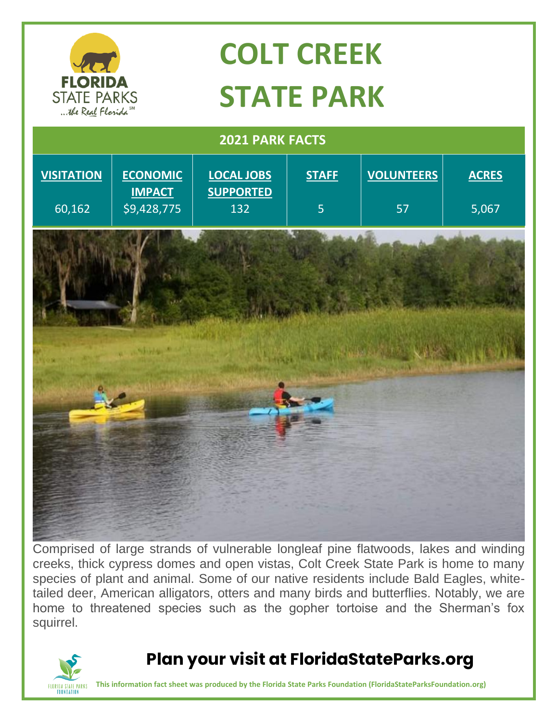

Comprised of large strands of vulnerable longleaf pine flatwoods, lakes and winding creeks, thick cypress domes and open vistas, Colt Creek State Park is home to many species of plant and animal. Some of our native residents include Bald Eagles, whitetailed deer, American alligators, otters and many birds and butterflies. Notably, we are home to threatened species such as the gopher tortoise and the Sherman's fox squirrel.



## **Plan your visit at FloridaStateParks.org**

**This information fact sheet was produced by the Florida State Parks Foundation (FloridaStateParksFoundation.org)**